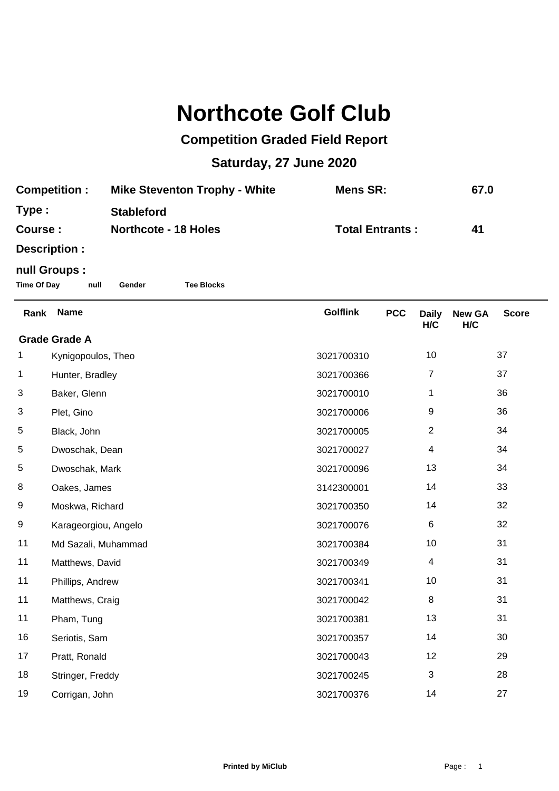## **Northcote Golf Club**

## **Competition Graded Field Report**

## **Saturday, 27 June 2020**

| <b>Competition:</b> | <b>Mike Steventon Trophy - White</b> | Mens SR:               | 67.0 |
|---------------------|--------------------------------------|------------------------|------|
| Type:               | <b>Stableford</b>                    |                        |      |
| <b>Course:</b>      | <b>Northcote - 18 Holes</b>          | <b>Total Entrants:</b> | 41   |
|                     |                                      |                        |      |

**Description :**

## **null Groups :**

**Time Of Day null Gender Tee Blocks**

| Rank                 | <b>Name</b>          | <b>Golflink</b> | <b>PCC</b> | <b>Daily</b><br>H/C | <b>New GA</b><br>H/C | <b>Score</b> |  |
|----------------------|----------------------|-----------------|------------|---------------------|----------------------|--------------|--|
| <b>Grade Grade A</b> |                      |                 |            |                     |                      |              |  |
| 1                    | Kynigopoulos, Theo   | 3021700310      |            | 10                  |                      | 37           |  |
| 1                    | Hunter, Bradley      | 3021700366      |            | 7                   |                      | 37           |  |
| 3                    | Baker, Glenn         | 3021700010      |            | 1                   |                      | 36           |  |
| 3                    | Plet, Gino           | 3021700006      |            | 9                   |                      | 36           |  |
| 5                    | Black, John          | 3021700005      |            | $\overline{2}$      |                      | 34           |  |
| 5                    | Dwoschak, Dean       | 3021700027      |            | 4                   |                      | 34           |  |
| 5                    | Dwoschak, Mark       | 3021700096      |            | 13                  |                      | 34           |  |
| 8                    | Oakes, James         | 3142300001      |            | 14                  |                      | 33           |  |
| 9                    | Moskwa, Richard      | 3021700350      |            | 14                  |                      | 32           |  |
| 9                    | Karageorgiou, Angelo | 3021700076      |            | 6                   |                      | 32           |  |
| 11                   | Md Sazali, Muhammad  | 3021700384      |            | 10                  |                      | 31           |  |
| 11                   | Matthews, David      | 3021700349      |            | $\overline{4}$      |                      | 31           |  |
| 11                   | Phillips, Andrew     | 3021700341      |            | 10                  |                      | 31           |  |
| 11                   | Matthews, Craig      | 3021700042      |            | 8                   |                      | 31           |  |
| 11                   | Pham, Tung           | 3021700381      |            | 13                  |                      | 31           |  |
| 16                   | Seriotis, Sam        | 3021700357      |            | 14                  |                      | 30           |  |
| 17                   | Pratt, Ronald        | 3021700043      |            | 12                  |                      | 29           |  |
| 18                   | Stringer, Freddy     | 3021700245      |            | 3                   |                      | 28           |  |
| 19                   | Corrigan, John       | 3021700376      |            | 14                  |                      | 27           |  |